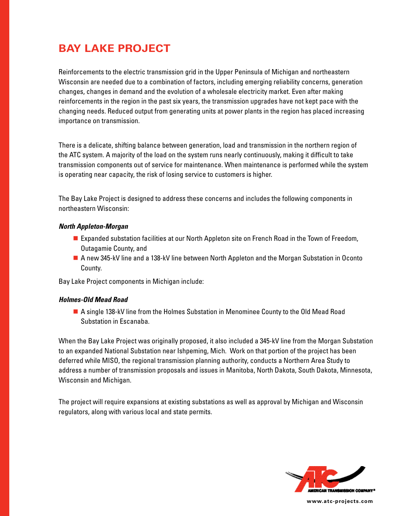# **BAY LAKE PROJECT**

Reinforcements to the electric transmission grid in the Upper Peninsula of Michigan and northeastern Wisconsin are needed due to a combination of factors, including emerging reliability concerns, generation changes, changes in demand and the evolution of a wholesale electricity market. Even after making reinforcements in the region in the past six years, the transmission upgrades have not kept pace with the changing needs. Reduced output from generating units at power plants in the region has placed increasing importance on transmission.

There is a delicate, shifting balance between generation, load and transmission in the northern region of the ATC system. A majority of the load on the system runs nearly continuously, making it difficult to take transmission components out of service for maintenance. When maintenance is performed while the system is operating near capacity, the risk of losing service to customers is higher.

The Bay Lake Project is designed to address these concerns and includes the following components in northeastern Wisconsin:

#### *North Appleton-Morgan*

- Expanded substation facilities at our North Appleton site on French Road in the Town of Freedom, Outagamie County, and
- A new 345-kV line and a 138-kV line between North Appleton and the Morgan Substation in Oconto County.

Bay Lake Project components in Michigan include:

## *Holmes-Old Mead Road*

■ A single 138-kV line from the Holmes Substation in Menominee County to the Old Mead Road Substation in Escanaba.

When the Bay Lake Project was originally proposed, it also included a 345-kV line from the Morgan Substation to an expanded National Substation near Ishpeming, Mich. Work on that portion of the project has been deferred while MISO, the regional transmission planning authority, conducts a Northern Area Study to address a number of transmission proposals and issues in Manitoba, North Dakota, South Dakota, Minnesota, Wisconsin and Michigan.

The project will require expansions at existing substations as well as approval by Michigan and Wisconsin regulators, along with various local and state permits.



**www.atc-projects.com**